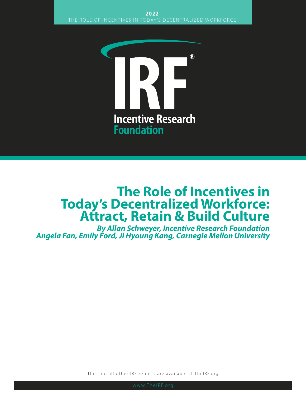

# **The Role of Incentives in Today's Decentralized Workforce: Attract, Retain & Build Culture**

*By Allan Schweyer, Incentive Research Foundation Angela Fan, Emily Ford, Ji Hyoung Kang, Carnegie Mellon University*

This and all other IRF reports are available at TheIRF.org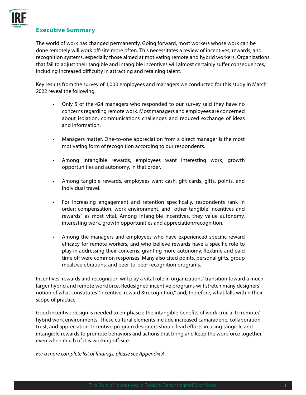

## **Executive Summary**

The world of work has changed permanently. Going forward, most workers whose work can be done remotely will work off-site more often. This necessitates a review of incentives, rewards, and recognition systems, especially those aimed at motivating remote and hybrid workers. Organizations that fail to adjust their tangible and intangible incentives will almost certainly suffer consequences, including increased difficulty in attracting and retaining talent.

Key results from the survey of 1,000 employees and managers we conducted for this study in March 2022 reveal the following:

- Only 5 of the 424 managers who responded to our survey said they have no concerns regarding remote work. Most managers and employees are concerned about isolation, communications challenges and reduced exchange of ideas and information.
- Managers matter. One-to-one appreciation from a direct manager is the most motivating form of recognition according to our respondents.
- Among intangible rewards, employees want interesting work, growth opportunities and autonomy, in that order.
- Among tangible rewards, employees want cash, gift cards, gifts, points, and individual travel.
- For increasing engagement and retention specifically, respondents rank in order: compensation, work environment, and "other tangible incentives and rewards" as most vital. Among intangible incentives, they value autonomy, interesting work, growth opportunities and appreciation/recognition.
- Among the managers and employees who have experienced specific reward efficacy for remote workers, and who believe rewards have a specific role to play in addressing their concerns, granting more autonomy, flextime and paid time off were common responses. Many also cited points, personal gifts, group meals/celebrations, and peer-to-peer recognition programs.

Incentives, rewards and recognition will play a vital role in organizations' transition toward a much larger hybrid and remote workforce. Redesigned incentive programs will stretch many designers' notion of what constitutes "incentive, reward & recognition," and, therefore, what falls within their scope of practice.

Good incentive design is needed to emphasize the intangible benefits of work crucial to remote/ hybrid work environments. These cultural elements include increased camaraderie, collaboration, trust, and appreciation. Incentive program designers should lead efforts in using tangible and intangible rewards to promote behaviors and actions that bring and keep the workforce together, even when much of it is working off-site.

*For a more complete list of findings, please see Appendix A.*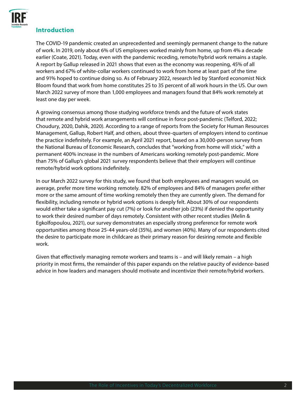

## **Introduction**

The COVID-19 pandemic created an unprecedented and seemingly permanent change to the nature of work. In 2019, only about 6% of US employees worked mainly from home, up from 4% a decade earlier (Coate, 2021). Today, even with the pandemic receding, remote/hybrid work remains a staple. A report by Gallup released in 2021 shows that even as the economy was reopening, 45% of all workers and 67% of white-collar workers continued to work from home at least part of the time and 91% hoped to continue doing so. As of February 2022, research led by Stanford economist Nick Bloom found that work from home constitutes 25 to 35 percent of all work hours in the US. Our own March 2022 survey of more than 1,000 employees and managers found that 84% work remotely at least one day per week.

A growing consensus among those studying workforce trends and the future of work states that remote and hybrid work arrangements will continue in force post-pandemic (Telford, 2022; Choudury, 2020, Dahik, 2020). According to a range of reports from the Society for Human Resources Management, Gallup, Robert Half, and others, about three-quarters of employers intend to continue the practice indefinitely. For example, an April 2021 report, based on a 30,000-person survey from the National Bureau of Economic Research, concludes that "working from home will stick," with a permanent 400% increase in the numbers of Americans working remotely post-pandemic. More than 75% of Gallup's global 2021 survey respondents believe that their employers will continue remote/hybrid work options indefinitely.

In our March 2022 survey for this study, we found that both employees and managers would, on average, prefer more time working remotely. 82% of employees and 84% of managers prefer either more or the same amount of time working remotely then they are currently given. The demand for flexibility, including remote or hybrid work options is deeply felt. About 30% of our respondents would either take a significant pay cut (7%) or look for another job (23%) if denied the opportunity to work their desired number of days remotely. Consistent with other recent studies (Melin & Egkolfopoulou, 2021), our survey demonstrates an especially strong preference for remote work opportunities among those 25-44 years-old (35%), and women (40%). Many of our respondents cited the desire to participate more in childcare as their primary reason for desiring remote and flexible work.

Given that effectively managing remote workers and teams is – and will likely remain – a high priority in most firms, the remainder of this paper expands on the relative paucity of evidence-based advice in how leaders and managers should motivate and incentivize their remote/hybrid workers.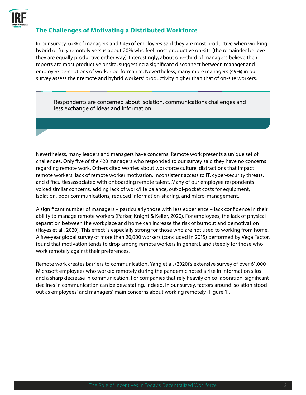

## **The Challenges of Motivating a Distributed Workforce**

In our survey, 62% of managers and 64% of employees said they are most productive when working hybrid or fully remotely versus about 20% who feel most productive on-site (the remainder believe they are equally productive either way). Interestingly, about one-third of managers believe their reports are most productive onsite, suggesting a significant disconnect between manager and employee perceptions of worker performance. Nevertheless, many more managers (49%) in our survey assess their remote and hybrid workers' productivity higher than that of on-site workers.

Respondents are concerned about isolation, communications challenges and less exchange of ideas and information.

Nevertheless, many leaders and managers have concerns. Remote work presents a unique set of challenges. Only five of the 420 managers who responded to our survey said they have no concerns regarding remote work. Others cited worries about workforce culture, distractions that impact remote workers, lack of remote worker motivation, inconsistent access to IT, cyber-security threats, and difficulties associated with onboarding remote talent. Many of our employee respondents voiced similar concerns, adding lack of work/life balance, out-of-pocket costs for equipment, isolation, poor communications, reduced information-sharing, and micro-management.

A significant number of managers – particularly those with less experience – lack confidence in their ability to manage remote workers (Parker, Knight & Keller, 2020). For employees, the lack of physical separation between the workplace and home can increase the risk of burnout and demotivation (Hayes et al., 2020). This effect is especially strong for those who are not used to working from home. A five-year global survey of more than 20,000 workers (concluded in 2015) performed by Vega Factor, found that motivation tends to drop among remote workers in general, and steeply for those who work remotely against their preferences.

Remote work creates barriers to communication. Yang et al. (2020)'s extensive survey of over 61,000 Microsoft employees who worked remotely during the pandemic noted a rise in information silos and a sharp decrease in communication. For companies that rely heavily on collaboration, significant declines in communication can be devastating. Indeed, in our survey, factors around isolation stood out as employees' and managers' main concerns about working remotely (Figure 1).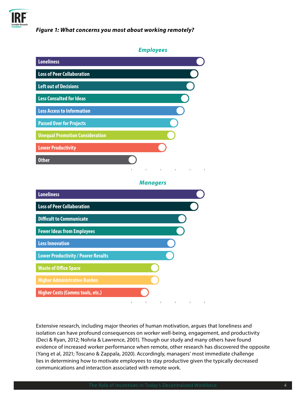

#### *Figure 1: What concerns you most about working remotely?*



Extensive research, including major theories of human motivation, argues that loneliness and isolation can have profound consequences on worker well-being, engagement, and productivity (Deci & Ryan, 2012; Nohria & Lawrence, 2001). Though our study and many others have found evidence of increased worker performance when remote, other research has discovered the opposite (Yang et al, 2021; Toscano & Zappala, 2020). Accordingly, managers' most immediate challenge lies in determining how to motivate employees to stay productive given the typically decreased communications and interaction associated with remote work.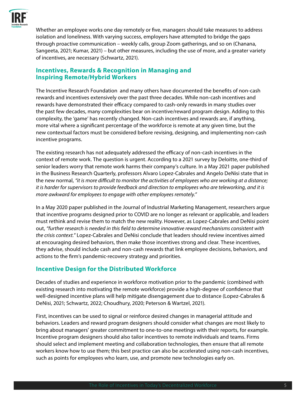

Whether an employee works one day remotely or five, managers should take measures to address isolation and loneliness. With varying success, employers have attempted to bridge the gaps through proactive communication – weekly calls, group Zoom gatherings, and so on (Chanana, Sangeeta, 2021; Kumar, 2021) – but other measures, including the use of more, and a greater variety of incentives, are necessary (Schwartz, 2021).

## **Incentives, Rewards & Recognition in Managing and Inspiring Remote/Hybrid Workers**

The Incentive Research Foundation and many others have documented the benefits of non-cash rewards and incentives extensively over the past three decades. While non-cash incentives and rewards have demonstrated their efficacy compared to cash-only rewards in many studies over the past few decades, many complexities bear on incentive/reward program design. Adding to this complexity, the 'game' has recently changed. Non-cash incentives and rewards are, if anything, more vital where a significant percentage of the workforce is remote at any given time, but the new contextual factors must be considered before revising, designing, and implementing non-cash incentive programs.

The existing research has not adequately addressed the efficacy of non-cash incentives in the context of remote work. The question is urgent. According to a 2021 survey by Deloitte, one-third of senior leaders worry that remote work harms their company's culture. In a May 2021 paper published in the Business Research Quarterly, professors Alvaro Lopez-Cabrales and Angelo DeNisi state that in the new normal, *"it is more difficult to monitor the activities of employees who are working at a distance; it is harder for supervisors to provide feedback and direction to employees who are teleworking, and it is more awkward for employees to engage with other employees remotely."* 

In a May 2020 paper published in the Journal of Industrial Marketing Management, researchers argue that incentive programs designed prior to COVID are no longer as relevant or applicable, and leaders must rethink and revise them to match the new reality. However, as Lopez-Cabrales and DeNisi point out, *"further research is needed in this field to determine innovative reward mechanisms consistent with the crisis context."* Lopez-Cabrales and DeNisi conclude that leaders should review incentives aimed at encouraging desired behaviors, then make those incentives strong and clear. These incentives, they advise, should include cash and non-cash rewards that link employee decisions, behaviors, and actions to the firm's pandemic-recovery strategy and priorities.

## **Incentive Design for the Distributed Workforce**

Decades of studies and experience in workforce motivation prior to the pandemic (combined with existing research into motivating the remote workforce) provide a high-degree of confidence that well-designed incentive plans will help mitigate disengagement due to distance (Lopez-Cabrales & DeNisi, 2021; Schwartz, 2022; Choudhury, 2020; Peterson & Wartzel, 2021).

First, incentives can be used to signal or reinforce desired changes in managerial attitude and behaviors. Leaders and reward program designers should consider what changes are most likely to bring about managers' greater commitment to one-to-one meetings with their reports, for example. Incentive program designers should also tailor incentives to remote individuals and teams. Firms should select and implement meeting and collaboration technologies, then ensure that all remote workers know how to use them; this best practice can also be accelerated using non-cash incentives, such as points for employees who learn, use, and promote new technologies early on.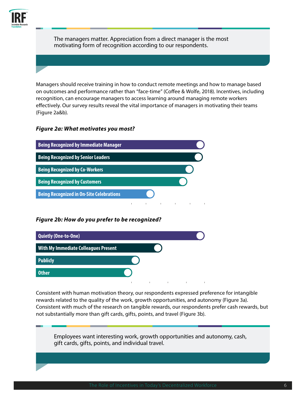

The managers matter. Appreciation from a direct manager is the most motivating form of recognition according to our respondents.

Managers should receive training in how to conduct remote meetings and how to manage based on outcomes and performance rather than "face-time" (Coffee & Wolfe, 2018). Incentives, including recognition, can encourage managers to access learning around managing remote workers effectively. Our survey results reveal the vital importance of managers in motivating their teams (Figure 2a&b).

#### *Figure 2a: What motivates you most?*



#### *Figure 2b: How do you prefer to be recognized?*



Consistent with human motivation theory, our respondents expressed preference for intangible rewards related to the quality of the work, growth opportunities, and autonomy (Figure 3a). Consistent with much of the research on tangible rewards, our respondents prefer cash rewards, but not substantially more than gift cards, gifts, points, and travel (Figure 3b).

Employees want interesting work, growth opportunities and autonomy, cash, gift cards, gifts, points, and individual travel.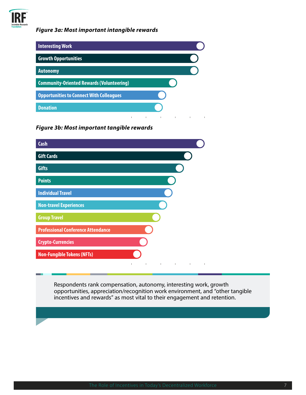

## *Figure 3a: Most important intangible rewards*



#### *Figure 3b: Most important tangible rewards*



Respondents rank compensation, autonomy, interesting work, growth opportunities, appreciation/recognition work environment, and "other tangible incentives and rewards" as most vital to their engagement and retention.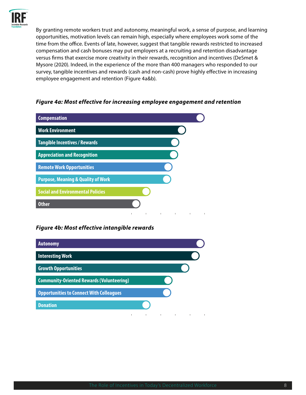

By granting remote workers trust and autonomy, meaningful work, a sense of purpose, and learning opportunities, motivation levels can remain high, especially where employees work some of the time from the office. Events of late, however, suggest that tangible rewards restricted to increased compensation and cash bonuses may put employers at a recruiting and retention disadvantage versus firms that exercise more creativity in their rewards, recognition and incentives (DeSmet & Mysore (2020). Indeed, in the experience of the more than 400 managers who responded to our survey, tangible incentives and rewards (cash and non-cash) prove highly effective in increasing employee engagement and retention (Figure 4a&b).

#### *Figure 4a: Most effective for increasing employee engagement and retention*



#### *Figure 4b: Most effective intangible rewards*

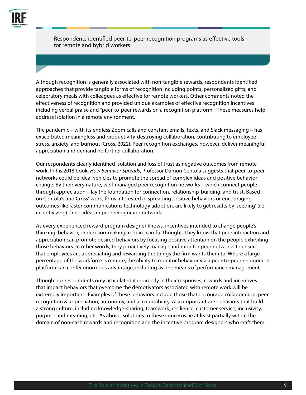

Respondents identified peer-to-peer recognition programs as effective tools for remote and hybrid workers.

Although recognition is generally associated with non-tangible rewards, respondents identified approaches that provide tangible forms of recognition including points, personalized gifts, and celebratory meals with colleagues as effective for remote workers. Other comments noted the effectiveness of recognition and provided unique examples of effective recognition incentives including verbal praise and "peer-to-peer rewards on a recognition platform." These measures help address isolation in a remote environment.

The pandemic – with its endless Zoom calls and constant emails, texts, and Slack messaging – has exacerbated meaningless and productivity-destroying collaboration, contributing to employee stress, anxiety, and burnout (Cross, 2022). Peer recognition exchanges, however, deliver meaningful appreciation and demand no further collaboration.

Our respondents clearly identified isolation and loss of trust as negative outcomes from remote work. In his 2018 book, *How Behavior Spreads*, Professor Damon Centola suggests that peer-to-peer networks could be ideal vehicles to promote the spread of complex ideas and positive behavior change. By their very nature, well-managed peer recognition networks – which connect people through appreciation – lay the foundation for connection, relationship-building, and trust. Based on Centola's and Cross' work, firms interested in spreading positive behaviors or encouraging outcomes like faster communications technology adoption, are likely to get results by 'seeding' (i.e., incentivizing) those ideas in peer recognition networks.

As every experienced reward program designer knows, incentives intended to change people's thinking, behavior, or decision-making, require careful thought. They know that peer interaction and appreciation can promote desired behaviors by focusing positive attention on the people exhibiting those behaviors. In other words, they proactively manage and monitor peer networks to ensure that employees are appreciating and rewarding the things the firm wants them to. Where a large percentage of the workforce is remote, the ability to monitor behavior via a peer-to-peer recognition platform can confer enormous advantage, including as one means of performance management.

Though our respondents only articulated it indirectly in their responses, rewards and incentives that impact behaviors that overcome the demotivators associated with remote work will be extremely important. Examples of these behaviors include those that encourage collaboration, peer recognition & appreciation, autonomy, and accountability. Also important are behaviors that build a strong culture, including knowledge-sharing, teamwork, resilience, customer service, inclusivity, purpose and meaning, etc. As above, solutions to these concerns lie at least partially within the domain of non-cash rewards and recognition and the incentive program designers who craft them.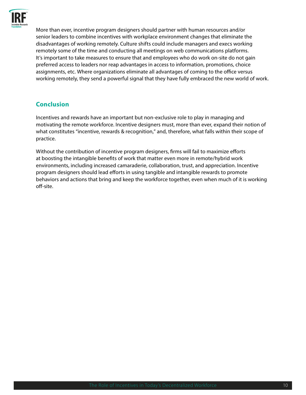

More than ever, incentive program designers should partner with human resources and/or senior leaders to combine incentives with workplace environment changes that eliminate the disadvantages of working remotely. Culture shifts could include managers and execs working remotely some of the time and conducting all meetings on web communications platforms. It's important to take measures to ensure that and employees who do work on-site do not gain preferred access to leaders nor reap advantages in access to information, promotions, choice assignments, etc. Where organizations eliminate all advantages of coming to the office versus working remotely, they send a powerful signal that they have fully embraced the new world of work.

# **Conclusion**

Incentives and rewards have an important but non-exclusive role to play in managing and motivating the remote workforce. Incentive designers must, more than ever, expand their notion of what constitutes "incentive, rewards & recognition," and, therefore, what falls within their scope of practice.

Without the contribution of incentive program designers, firms will fail to maximize efforts at boosting the intangible benefits of work that matter even more in remote/hybrid work environments, including increased camaraderie, collaboration, trust, and appreciation. Incentive program designers should lead efforts in using tangible and intangible rewards to promote behaviors and actions that bring and keep the workforce together, even when much of it is working off-site.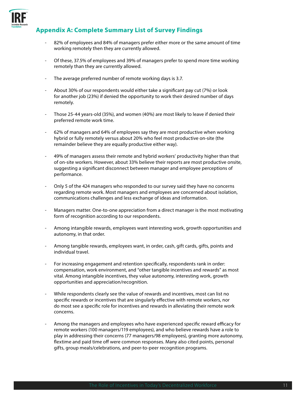

## **Appendix A: Complete Summary List of Survey Findings**

- 82% of employees and 84% of managers prefer either more or the same amount of time working remotely then they are currently allowed.
- Of these, 37.5% of employees and 39% of managers prefer to spend more time working remotely than they are currently allowed.
- The average preferred number of remote working days is 3.7.
- About 30% of our respondents would either take a significant pay cut (7%) or look for another job (23%) if denied the opportunity to work their desired number of days remotely.
- Those 25-44 years-old (35%), and women (40%) are most likely to leave if denied their preferred remote work time.
- 62% of managers and 64% of employees say they are most productive when working hybrid or fully remotely versus about 20% who feel most productive on-site (the remainder believe they are equally productive either way).
- 49% of managers assess their remote and hybrid workers' productivity higher than that of on-site workers. However, about 33% believe their reports are most productive onsite, suggesting a significant disconnect between manager and employee perceptions of performance.
- Only 5 of the 424 managers who responded to our survey said they have no concerns regarding remote work. Most managers and employees are concerned about isolation, communications challenges and less exchange of ideas and information.
- Managers matter. One-to-one appreciation from a direct manager is the most motivating form of recognition according to our respondents.
- Among intangible rewards, employees want interesting work, growth opportunities and autonomy, in that order.
- Among tangible rewards, employees want, in order, cash, gift cards, gifts, points and individual travel.
- For increasing engagement and retention specifically, respondents rank in order: compensation, work environment, and "other tangible incentives and rewards" as most vital. Among intangible incentives, they value autonomy, interesting work, growth opportunities and appreciation/recognition.
- While respondents clearly see the value of rewards and incentives, most can list no specific rewards or incentives that are singularly effective with remote workers, nor do most see a specific role for incentives and rewards in alleviating their remote work concerns.
- Among the managers and employees who have experienced specific reward efficacy for remote workers (100 managers/119 employees), and who believe rewards have a role to play in addressing their concerns (77 managers/98 employees), granting more autonomy, flextime and paid time off were common responses. Many also cited points, personal gifts, group meals/celebrations, and peer-to-peer recognition programs.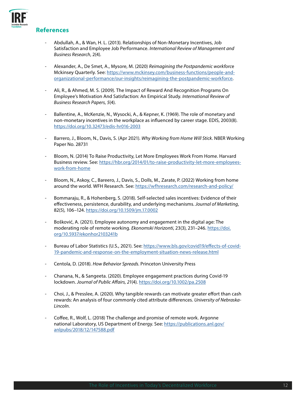

#### **References**

- Abdullah, A., & Wan, H. L. (2013). Relationships of Non-Monetary Incentives, Job Satisfaction and Employee Job Performance. *International Review of Management and Business Research*, 2(4).
- Alexander, A., De Smet, A., Mysore, M. (2020) *Reimagining the Postpandemic workforc*e Mckinsey Quarterly. See: [https://www.mckinsey.com/business-functions/people-and](https://www.mckinsey.com/business-functions/people-and-organizational-performance/our-insights/reimagining-the-postpandemic-workforce)[organizational-performance/our-insights/reimagining-the-postpandemic-workforce.](https://www.mckinsey.com/business-functions/people-and-organizational-performance/our-insights/reimagining-the-postpandemic-workforce)
- Ali, R., & Ahmed, M. S. (2009). The Impact of Reward And Recognition Programs On Employee's Motivation And Satisfaction: An Empirical Study. *International Review of Business Research Papers, 5*(4).
- Ballentine, A., McKenzie, N., Wysocki, A., & Kepner, K. (1969). The role of monetary and non-monetary incentives in the workplace as influenced by career stage. EDIS, 2003(8). <https://doi.org/10.32473/edis-hr016-2003>
- Barrero, J., Bloom, N., Davis, S. (Apr 2021). *Why Working from Home Will Stick*. NBER Working Paper No. 28731
- Bloom, N. (2014) To Raise Productivity, Let More Employees Work From Home. Harvard Business review. See: [https://hbr.org/2014/01/to-raise-productivity-let-more-employees](https://hbr.org/2014/01/to-raise-productivity-let-more-employees-work-from-home)[work-from-home](https://hbr.org/2014/01/to-raise-productivity-let-more-employees-work-from-home)
- Bloom, N., Askoy, C., Bareero, J., Davis, S., Dolls, M., Zarate, P. (2022) Working from home around the world. WFH Research. See: <https://wfhresearch.com/research-and-policy/>
- Bommaraju, R., & Hohenberg, S. (2018). Self-selected sales incentives: Evidence of their effectiveness, persistence, durability, and underlying mechanisms. *Journal of Marketing*, 82(5), 106–124.<https://doi.org/10.1509/jm.17.0002>
- Bošković, A. (2021). Employee autonomy and engagement in the digital age: The moderating role of remote working. *Ekonomski Horizonti*, 23(3), 231–246. [https://doi.](https://doi.org/10.5937/ekonhor2103241b) [org/10.5937/ekonhor2103241b](https://doi.org/10.5937/ekonhor2103241b)
- Bureau of Labor Statistics (U.S., 2021). See: [https://www.bls.gov/covid19/effects-of-covid-](https://www.bls.gov/covid19/effects-of-covid-19-pandemic-and-response-on-the-employment-situation-news-release.html)[19-pandemic-and-response-on-the-employment-situation-news-release.html](https://www.bls.gov/covid19/effects-of-covid-19-pandemic-and-response-on-the-employment-situation-news-release.html)
- Centola, D. (2018). *How Behavior Spreads.* Princeton University Press
- Chanana, N., & Sangeeta. (2020). Employee engagement practices during Covid‐19 lockdown. *Journal of Public Affairs, 21*(4). <https://doi.org/10.1002/pa.2508>
- Choi, J., & Presslee, A. (2020). Why tangible rewards can motivate greater effort than cash rewards: An analysis of four commonly cited attribute differences. *University of Nebraska-Lincoln*.
- Coffee, R., Wolf, L. (2018) The challenge and promise of remote work. Argonne national Laboratory, US Department of Energy. See: [https://publications.anl.gov/](https://publications.anl.gov/anlpubs/2018/12/147588.pdf) [anlpubs/2018/12/147588.pdf](https://publications.anl.gov/anlpubs/2018/12/147588.pdf)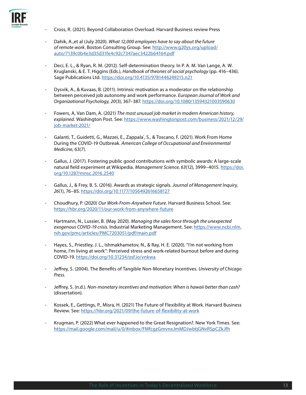

- Cross, R. (2021). Beyond Collaboration Overload. Harvard Business review Press
- Dahik, A.,et al (July 2020). *What 12,000 employees have to say about the future of remote work*. Boston Consulting Group. See: [http://www.g20ys.org/upload/](http://www.g20ys.org/upload/auto/7139c0b4e3d35d31fe4c92c7347aec3422b64164.pdf) [auto/7139c0b4e3d35d31fe4c92c7347aec3422b64164.pdf](http://www.g20ys.org/upload/auto/7139c0b4e3d35d31fe4c92c7347aec3422b64164.pdf)
- Deci, E. L., & Ryan, R. M. (2012). Self-determination theory. In P. A. M. Van Lange, A. W. Kruglanski, & E. T. Higgins (Eds.), *Handbook of theories of social psychology* (pp. 416–436). Sage Publications Ltd. <https://doi.org/10.4135/9781446249215.n21>
- Dysvik, A., & Kuvaas, B. (2011). Intrinsic motivation as a moderator on the relationship between perceived job autonomy and work performance. *European Journal of Work and Organizational Psychology, 20*(3), 367–387. <https://doi.org/10.1080/13594321003590630>
- Fowers, A, Van Dam, A. (2021) *The most unusual job market in modern American history, explained.* Washington Post. See: [https://www.washingtonpost.com/business/2021/12/29/](https://www.washingtonpost.com/business/2021/12/29/job-market-2021/) [job-market-2021/](https://www.washingtonpost.com/business/2021/12/29/job-market-2021/)
- Galanti, T., Guidetti, G., Mazzei, E., Zappala`, S., & Toscano, F. (2021). Work From Home During the COVID-19 Outbreak. *American College of Occupational and Environmental Medicine*, 63(7).
- Gallus, J. (2017). Fostering public good contributions with symbolic awards: A large-scale natural field experiment at Wikipedia. *Management Science, 63*(12), 3999–4015. [https://doi.](https://doi.org/10.1287/mnsc.2016.2540) [org/10.1287/mnsc.2016.2540](https://doi.org/10.1287/mnsc.2016.2540)
- Gallus, J., & Frey, B. S. (2016). Awards as strategic signals. *Journal of Management Inquiry, 26*(1), 76–85.<https://doi.org/10.1177/1056492616658127>
- Choudhury, P. (2020) *Our Work-From-Anywhere Future.* Harvard Business School. See: <https://hbr.org/2020/11/our-work-from-anywhere-future>
- Hartmann, N., Lussier, B. (May 2020). *Managing the sales force through the unexpected exogenous COVID-19 crisis.* Industrial Marketing Management. See: [https://www.ncbi.nlm.](https://www.ncbi.nlm.nih.gov/pmc/articles/PMC7203051/pdf/main.pdf) [nih.gov/pmc/articles/PMC7203051/pdf/main.pdf](https://www.ncbi.nlm.nih.gov/pmc/articles/PMC7203051/pdf/main.pdf)
- Hayes, S., Priestley, J. L., Ishmakhametov, N., & Ray, H. E. (2020). "I'm not working from home, I'm living at work": Perceived stress and work-related burnout before and during COVID-19.<https://doi.org/10.31234/osf.io/vnkwa>
- Jeffrey, S. (2004). The Benefits of Tangible Non-Monetary Incentives. *University of Chicago Press.*
- Jeffrey, S. (n.d.). *Non-monetary incentives and motivation: When is hawaii better than cash?*  (dissertation).
- Kossek, E., Gettings, P., Misra, H. (2021) The Future of Flexibility at Work. Harvard Business Review. See:<https://hbr.org/2021/09/the-future-of-flexibility-at-work>
- Krugman, P. (2022) What ever happened to the Great Resignation?. New York Times. See: <https://mail.google.com/mail/u/0/#inbox/FMfcgzGmvnxJmMDJwbtjGNvRSpCZkJfh>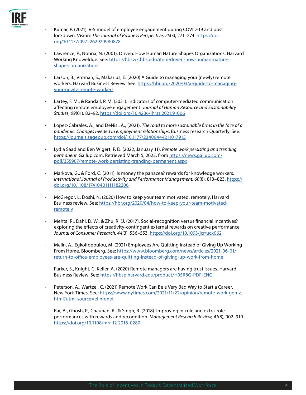

- Kumar, P. (2021). V-5 model of employee engagement during COVID-19 and post lockdown. Vision: *The Journal of Business Perspective, 25*(3), 271–274. [https://doi.](https://doi.org/10.1177/0972262920980878) [org/10.1177/0972262920980878](https://doi.org/10.1177/0972262920980878)
- Lawrence, P., Nohria, N. (2001). Driven: How Human Nature Shapes Organizations. Harvard Working Knoweldge. See: [https://hbswk.hbs.edu/item/driven-how-human-nature](https://hbswk.hbs.edu/item/driven-how-human-nature-shapes-organizations
)[shapes-organizations](https://hbswk.hbs.edu/item/driven-how-human-nature-shapes-organizations
)
- Larson, B., Vroman, S., Makarius, E. (2020) A Guide to managing your (newly) remote workers. Harvard Business Review. See: [https://hbr.org/2020/03/a-guide-to-managing](https://hbr.org/2020/03/a-guide-to-managing-your-newly-remote-workers)[your-newly-remote-workers](https://hbr.org/2020/03/a-guide-to-managing-your-newly-remote-workers)
- Lartey, F. M., & Randall, P. M. (2021). Indicators of computer-mediated communication affecting remote employee engagement. *Journal of Human Resource and Sustainability Studies, 09*(01), 82–92. <https://doi.org/10.4236/jhrss.2021.91006>
- Lopez-Cabrales, A., and DeNisi, A., (2021). *The road to more sustainable firms in the face of a pandemic: Changes needed in employment relationships*. Business research Quarterly. See: <https://journals.sagepub.com/doi/10.1177/23409444211017913>
- Lydia Saad and Ben Wigert, P. D. (2022, January 11). *Remote work persisting and trending permanent.* Gallup.com. Retrieved March 5, 2022, from [https://news.gallup.com/](https://news.gallup.com/poll/355907/remote-work-persisting-trending-permanent.aspx) [poll/355907/remote-work-persisting-trending-permanent.aspx](https://news.gallup.com/poll/355907/remote-work-persisting-trending-permanent.aspx)
- Markova, G., & Ford, C. (2011). Is money the panacea? rewards for knowledge workers. *International Journal of Productivity and Performance Management, 60*(8), 813–823. [https://](https://doi.org/10.1108/17410401111182206) [doi.org/10.1108/17410401111182206](https://doi.org/10.1108/17410401111182206)
- McGregor, L. Doshi, N. (2020) How to keep your team motivated, remotely. Harvard Bsuiness review. See: [https://hbr.org/2020/04/how-to-keep-your-team-motivated](https://hbr.org/2020/04/how-to-keep-your-team-motivated-remotely)[remotely](https://hbr.org/2020/04/how-to-keep-your-team-motivated-remotely)
- Mehta, R., Dahl, D. W., & Zhu, R. (J. (2017). Social-recognition versus financial incentives? exploring the effects of creativity-contingent external rewards on creative performance. *Journal of Consumer Research, 44*(3), 536–553. <https://doi.org/10.1093/jcr/ucx062>
- Melin, A., Egkolfopoulou, M. (2021) Employees Are Quitting Instead of Giving Up Working From Home. Bloomberg. See: [https://www.bloomberg.com/news/articles/2021-06-01/](https://www.bloomberg.com/news/articles/2021-06-01/return-to-office-employees-are-quitting-instead-of-giving-up-work-from-home) [return-to-office-employees-are-quitting-instead-of-giving-up-work-from-home](https://www.bloomberg.com/news/articles/2021-06-01/return-to-office-employees-are-quitting-instead-of-giving-up-work-from-home)
- Parker, S., Knight, C. Keller, A. (2020) Remote managers are having trust issues. Harvard Business Review. See: <https://hbsp.harvard.edu/product/H05R8G-PDF-ENG>
- Peterson, A., Wartzel, C. (2021) Remote Work Can Be a Very Bad Way to Start a Career. New York Times. See: [https://www.nytimes.com/2021/11/22/opinion/remote-work-gen-z.](https://www.nytimes.com/2021/11/22/opinion/remote-work-gen-z.html?utm_source=elinfonet) [html?utm\\_source=elinfonet](https://www.nytimes.com/2021/11/22/opinion/remote-work-gen-z.html?utm_source=elinfonet)
- Rai, A., Ghosh, P., Chauhan, R., & Singh, R. (2018). Improving in-role and extra-role performances with rewards and recognition. *Management Research Review, 41*(8), 902–919. <https://doi.org/10.1108/mrr-12-2016-0280>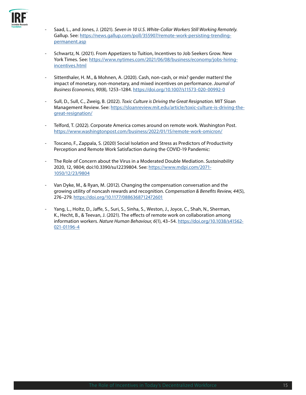

- Saad, L., and Jones, J. (2021). *Seven in 10 U.S. White-Collar Workers Still Working Remotely.*  Gallup. See: [https://news.gallup.com/poll/355907/remote-work-persisting-trending](https://news.gallup.com/poll/355907/remote-work-persisting-trending-permanent.asp)[permanent.asp](https://news.gallup.com/poll/355907/remote-work-persisting-trending-permanent.asp)
- Schwartz, N. (2021). From Appetizers to Tuition, Incentives to Job Seekers Grow. New York Times. See: [https://www.nytimes.com/2021/06/08/business/economy/jobs-hiring](https://www.nytimes.com/2021/06/08/business/economy/jobs-hiring-incentives.html)[incentives.html](https://www.nytimes.com/2021/06/08/business/economy/jobs-hiring-incentives.html)
- Sittenthaler, H. M., & Mohnen, A. (2020). Cash, non-cash, or mix? gender matters! the impact of monetary, non-monetary, and mixed incentives on performance. *Journal of Business Economics, 90*(8), 1253–1284.<https://doi.org/10.1007/s11573-020-00992-0>
- Sull, D., Sull, C., Zweig, B. (2022). *Toxic Culture is Driving the Great Resignation.* MIT Sloan Management Review. See: [https://sloanreview.mit.edu/article/toxic-culture-is-driving-the](https://sloanreview.mit.edu/article/toxic-culture-is-driving-the-great-resignation/)[great-resignation/](https://sloanreview.mit.edu/article/toxic-culture-is-driving-the-great-resignation/)
- Telford, T. (2022). Corporate America comes around on remote work. Washington Post. <https://www.washingtonpost.com/business/2022/01/15/remote-work-omicron/>
- Toscano, F., Zappala, S. (2020) Social Isolation and Stress as Predictors of Productivity Perception and Remote Work Satisfaction during the COVID-19 Pandemic:
- The Role of Concern about the Virus in a Moderated Double Mediation. *Sustainability* 2020, 12, 9804; doi:10.3390/su12239804. See: [https://www.mdpi.com/2071-](https://www.mdpi.com/2071-1050/12/23/9804) [1050/12/23/9804](https://www.mdpi.com/2071-1050/12/23/9804)
- Van Dyke, M., & Ryan, M. (2012). Changing the compensation conversation and the growing utility of noncash rewards and recognition. *Compensation & Benefits Review, 44*(5), 276–279.<https://doi.org/10.1177/0886368712472601>
- Yang, L., Holtz, D., Jaffe, S., Suri, S., Sinha, S., Weston, J., Joyce, C., Shah, N., Sherman, K., Hecht, B., & Teevan, J. (2021). The effects of remote work on collaboration among information workers. *Nature Human Behaviour, 6*(1), 43–54. [https://doi.org/10.1038/s41562-](https://doi.org/10.1038/s41562-021-01196-4) [021-01196-4](https://doi.org/10.1038/s41562-021-01196-4)